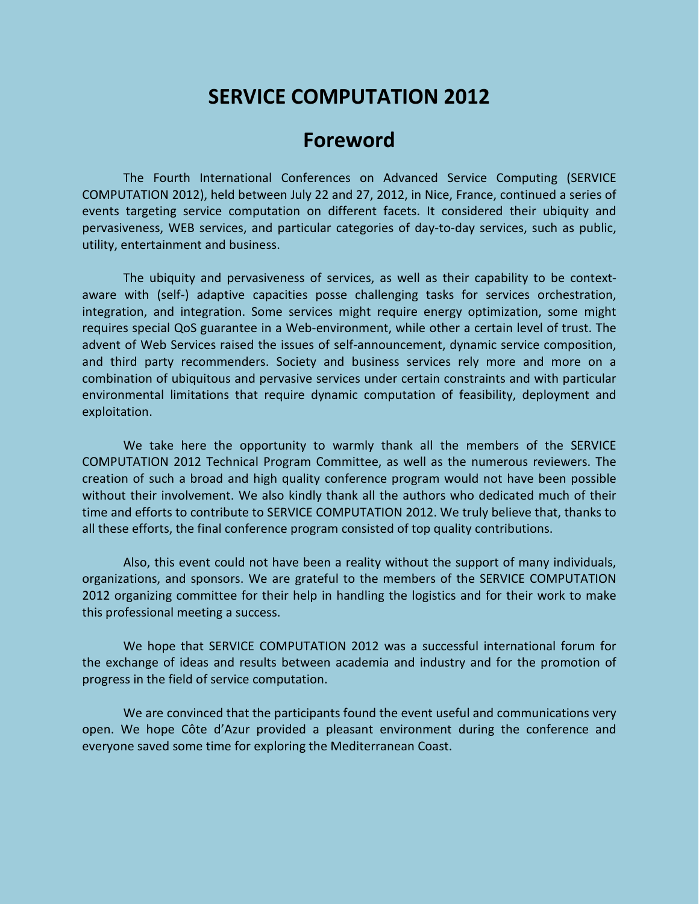# **SERVICE COMPUTATION 2012**

# **Foreword**

The Fourth International Conferences on Advanced Service Computing (SERVICE COMPUTATION 2012), held between July 22 and 27, 2012, in Nice, France, continued a series of events targeting service computation on different facets. It considered their ubiquity and pervasiveness, WEB services, and particular categories of day-to-day services, such as public, utility, entertainment and business.

The ubiquity and pervasiveness of services, as well as their capability to be contextaware with (self-) adaptive capacities posse challenging tasks for services orchestration, integration, and integration. Some services might require energy optimization, some might requires special QoS guarantee in a Web-environment, while other a certain level of trust. The advent of Web Services raised the issues of self-announcement, dynamic service composition, and third party recommenders. Society and business services rely more and more on a combination of ubiquitous and pervasive services under certain constraints and with particular environmental limitations that require dynamic computation of feasibility, deployment and exploitation.

We take here the opportunity to warmly thank all the members of the SERVICE COMPUTATION 2012 Technical Program Committee, as well as the numerous reviewers. The creation of such a broad and high quality conference program would not have been possible without their involvement. We also kindly thank all the authors who dedicated much of their time and efforts to contribute to SERVICE COMPUTATION 2012. We truly believe that, thanks to all these efforts, the final conference program consisted of top quality contributions.

Also, this event could not have been a reality without the support of many individuals, organizations, and sponsors. We are grateful to the members of the SERVICE COMPUTATION 2012 organizing committee for their help in handling the logistics and for their work to make this professional meeting a success.

We hope that SERVICE COMPUTATION 2012 was a successful international forum for the exchange of ideas and results between academia and industry and for the promotion of progress in the field of service computation.

We are convinced that the participants found the event useful and communications very open. We hope Côte d'Azur provided a pleasant environment during the conference and everyone saved some time for exploring the Mediterranean Coast.